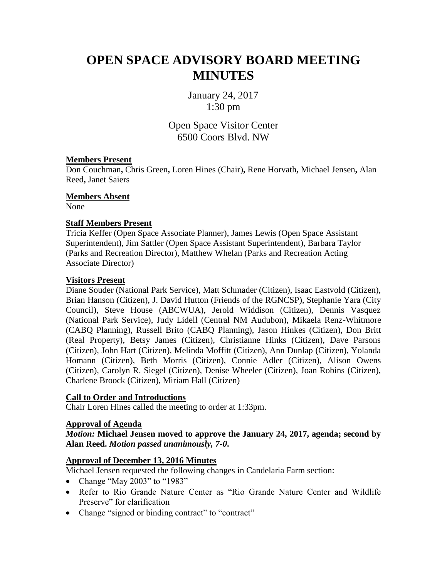# **OPEN SPACE ADVISORY BOARD MEETING MINUTES**

January 24, 2017 1:30 pm

Open Space Visitor Center 6500 Coors Blvd. NW

## **Members Present**

Don Couchman**,** Chris Green**,** Loren Hines (Chair)**,** Rene Horvath**,** Michael Jensen**,** Alan Reed**,** Janet Saiers

**Members Absent**

None

## **Staff Members Present**

Tricia Keffer (Open Space Associate Planner), James Lewis (Open Space Assistant Superintendent), Jim Sattler (Open Space Assistant Superintendent), Barbara Taylor (Parks and Recreation Director), Matthew Whelan (Parks and Recreation Acting Associate Director)

## **Visitors Present**

Diane Souder (National Park Service), Matt Schmader (Citizen), Isaac Eastvold (Citizen), Brian Hanson (Citizen), J. David Hutton (Friends of the RGNCSP), Stephanie Yara (City Council), Steve House (ABCWUA), Jerold Widdison (Citizen), Dennis Vasquez (National Park Service), Judy Lidell (Central NM Audubon), Mikaela Renz-Whitmore (CABQ Planning), Russell Brito (CABQ Planning), Jason Hinkes (Citizen), Don Britt (Real Property), Betsy James (Citizen), Christianne Hinks (Citizen), Dave Parsons (Citizen), John Hart (Citizen), Melinda Moffitt (Citizen), Ann Dunlap (Citizen), Yolanda Homann (Citizen), Beth Morris (Citizen), Connie Adler (Citizen), Alison Owens (Citizen), Carolyn R. Siegel (Citizen), Denise Wheeler (Citizen), Joan Robins (Citizen), Charlene Broock (Citizen), Miriam Hall (Citizen)

#### **Call to Order and Introductions**

Chair Loren Hines called the meeting to order at 1:33pm.

#### **Approval of Agenda**

*Motion:* **Michael Jensen moved to approve the January 24, 2017, agenda; second by Alan Reed.** *Motion passed unanimously, 7-0***.**

# **Approval of December 13, 2016 Minutes**

Michael Jensen requested the following changes in Candelaria Farm section:

- Change "May 2003" to "1983"
- Refer to Rio Grande Nature Center as "Rio Grande Nature Center and Wildlife Preserve" for clarification
- Change "signed or binding contract" to "contract"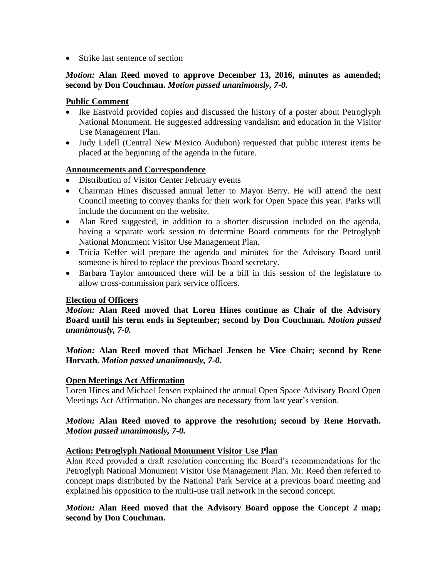• Strike last sentence of section

# *Motion:* **Alan Reed moved to approve December 13, 2016, minutes as amended; second by Don Couchman.** *Motion passed unanimously, 7-0.*

# **Public Comment**

- Ike Eastvold provided copies and discussed the history of a poster about Petroglyph National Monument. He suggested addressing vandalism and education in the Visitor Use Management Plan.
- Judy Lidell (Central New Mexico Audubon) requested that public interest items be placed at the beginning of the agenda in the future.

## **Announcements and Correspondence**

- Distribution of Visitor Center February events
- Chairman Hines discussed annual letter to Mayor Berry. He will attend the next Council meeting to convey thanks for their work for Open Space this year. Parks will include the document on the website.
- Alan Reed suggested, in addition to a shorter discussion included on the agenda, having a separate work session to determine Board comments for the Petroglyph National Monument Visitor Use Management Plan.
- Tricia Keffer will prepare the agenda and minutes for the Advisory Board until someone is hired to replace the previous Board secretary.
- Barbara Taylor announced there will be a bill in this session of the legislature to allow cross-commission park service officers.

#### **Election of Officers**

*Motion:* **Alan Reed moved that Loren Hines continue as Chair of the Advisory Board until his term ends in September; second by Don Couchman.** *Motion passed unanimously, 7-0.*

*Motion:* **Alan Reed moved that Michael Jensen be Vice Chair; second by Rene Horvath.** *Motion passed unanimously, 7-0.*

#### **Open Meetings Act Affirmation**

Loren Hines and Michael Jensen explained the annual Open Space Advisory Board Open Meetings Act Affirmation. No changes are necessary from last year's version.

## *Motion:* **Alan Reed moved to approve the resolution; second by Rene Horvath.**  *Motion passed unanimously, 7-0.*

# **Action: Petroglyph National Monument Visitor Use Plan**

Alan Reed provided a draft resolution concerning the Board's recommendations for the Petroglyph National Monument Visitor Use Management Plan. Mr. Reed then referred to concept maps distributed by the National Park Service at a previous board meeting and explained his opposition to the multi-use trail network in the second concept.

# *Motion:* **Alan Reed moved that the Advisory Board oppose the Concept 2 map; second by Don Couchman.**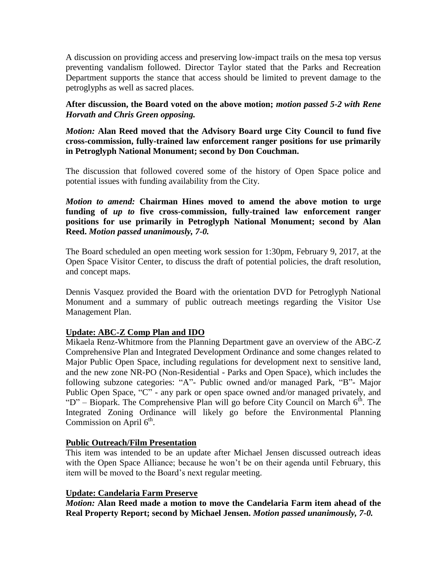A discussion on providing access and preserving low-impact trails on the mesa top versus preventing vandalism followed. Director Taylor stated that the Parks and Recreation Department supports the stance that access should be limited to prevent damage to the petroglyphs as well as sacred places.

**After discussion, the Board voted on the above motion;** *motion passed 5-2 with Rene Horvath and Chris Green opposing.*

*Motion:* **Alan Reed moved that the Advisory Board urge City Council to fund five cross-commission, fully-trained law enforcement ranger positions for use primarily in Petroglyph National Monument; second by Don Couchman.**

The discussion that followed covered some of the history of Open Space police and potential issues with funding availability from the City.

*Motion to amend:* **Chairman Hines moved to amend the above motion to urge funding of** *up to* **five cross-commission, fully-trained law enforcement ranger positions for use primarily in Petroglyph National Monument; second by Alan Reed.** *Motion passed unanimously, 7-0.*

The Board scheduled an open meeting work session for 1:30pm, February 9, 2017, at the Open Space Visitor Center, to discuss the draft of potential policies, the draft resolution, and concept maps.

Dennis Vasquez provided the Board with the orientation DVD for Petroglyph National Monument and a summary of public outreach meetings regarding the Visitor Use Management Plan.

# **Update: ABC-Z Comp Plan and IDO**

Mikaela Renz-Whitmore from the Planning Department gave an overview of the ABC-Z Comprehensive Plan and Integrated Development Ordinance and some changes related to Major Public Open Space, including regulations for development next to sensitive land, and the new zone NR-PO (Non-Residential - Parks and Open Space), which includes the following subzone categories: "A"- Public owned and/or managed Park, "B"- Major Public Open Space, "C" - any park or open space owned and/or managed privately, and "D" – Biopark. The Comprehensive Plan will go before City Council on March  $6<sup>th</sup>$ . The Integrated Zoning Ordinance will likely go before the Environmental Planning Commission on April  $6<sup>th</sup>$ .

#### **Public Outreach/Film Presentation**

This item was intended to be an update after Michael Jensen discussed outreach ideas with the Open Space Alliance; because he won't be on their agenda until February, this item will be moved to the Board's next regular meeting.

#### **Update: Candelaria Farm Preserve**

*Motion:* **Alan Reed made a motion to move the Candelaria Farm item ahead of the Real Property Report; second by Michael Jensen.** *Motion passed unanimously, 7-0.*